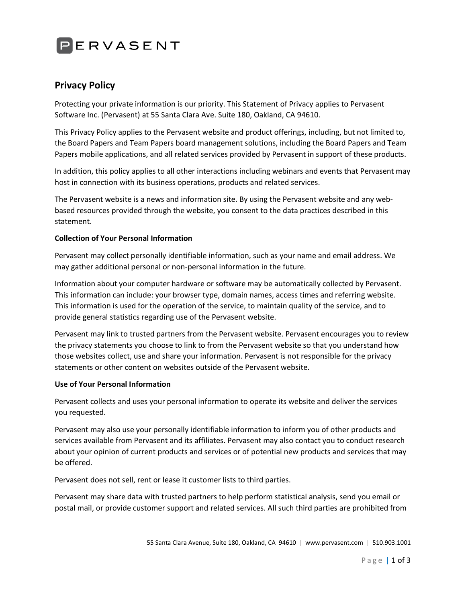

# **Privacy Policy**

Protecting your private information is our priority. This Statement of Privacy applies to Pervasent Software Inc. (Pervasent) at 55 Santa Clara Ave. Suite 180, Oakland, CA 94610.

This Privacy Policy applies to the Pervasent website and product offerings, including, but not limited to, the Board Papers and Team Papers board management solutions, including the Board Papers and Team Papers mobile applications, and all related services provided by Pervasent in support of these products.

In addition, this policy applies to all other interactions including webinars and events that Pervasent may host in connection with its business operations, products and related services.

The Pervasent website is a news and information site. By using the Pervasent website and any webbased resources provided through the website, you consent to the data practices described in this statement.

## **Collection of Your Personal Information**

Pervasent may collect personally identifiable information, such as your name and email address. We may gather additional personal or non-personal information in the future.

Information about your computer hardware or software may be automatically collected by Pervasent. This information can include: your browser type, domain names, access times and referring website. This information is used for the operation of the service, to maintain quality of the service, and to provide general statistics regarding use of the Pervasent website.

Pervasent may link to trusted partners from the Pervasent website. Pervasent encourages you to review the privacy statements you choose to link to from the Pervasent website so that you understand how those websites collect, use and share your information. Pervasent is not responsible for the privacy statements or other content on websites outside of the Pervasent website.

### **Use of Your Personal Information**

Pervasent collects and uses your personal information to operate its website and deliver the services you requested.

Pervasent may also use your personally identifiable information to inform you of other products and services available from Pervasent and its affiliates. Pervasent may also contact you to conduct research about your opinion of current products and services or of potential new products and services that may be offered.

Pervasent does not sell, rent or lease it customer lists to third parties.

Pervasent may share data with trusted partners to help perform statistical analysis, send you email or postal mail, or provide customer support and related services. All such third parties are prohibited from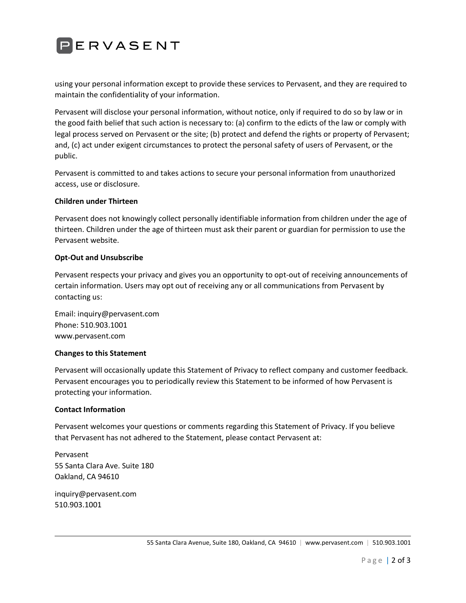

using your personal information except to provide these services to Pervasent, and they are required to maintain the confidentiality of your information.

Pervasent will disclose your personal information, without notice, only if required to do so by law or in the good faith belief that such action is necessary to: (a) confirm to the edicts of the law or comply with legal process served on Pervasent or the site; (b) protect and defend the rights or property of Pervasent; and, (c) act under exigent circumstances to protect the personal safety of users of Pervasent, or the public.

Pervasent is committed to and takes actions to secure your personal information from unauthorized access, use or disclosure.

### **Children under Thirteen**

Pervasent does not knowingly collect personally identifiable information from children under the age of thirteen. Children under the age of thirteen must ask their parent or guardian for permission to use the Pervasent website.

### **Opt-Out and Unsubscribe**

Pervasent respects your privacy and gives you an opportunity to opt-out of receiving announcements of certain information. Users may opt out of receiving any or all communications from Pervasent by contacting us:

Email: inquiry@pervasent.com Phone: 510.903.1001 www.pervasent.com

### **Changes to this Statement**

Pervasent will occasionally update this Statement of Privacy to reflect company and customer feedback. Pervasent encourages you to periodically review this Statement to be informed of how Pervasent is protecting your information.

### **Contact Information**

Pervasent welcomes your questions or comments regarding this Statement of Privacy. If you believe that Pervasent has not adhered to the Statement, please contact Pervasent at:

Pervasent 55 Santa Clara Ave. Suite 180 Oakland, CA 94610

inquiry@pervasent.com 510.903.1001